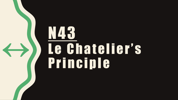# N43 **Le Chatelier's** Principle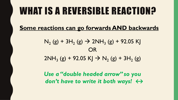#### WHAT IS A REVERSIBLE REACTION?

**Some reactions can go forwards AND backwards**

 $N_2$  (g) + 3H<sub>2</sub> (g)  $\rightarrow$  2NH<sub>3</sub> (g) + 92.05 KJ OR  $2NH_3$  (g) + 92.05 KJ  $\rightarrow$  N<sub>2</sub> (g) + 3H<sub>2</sub> (g)

*Use a "double headed arrow" so you don't have to write it both ways! ↔*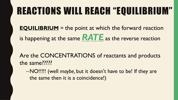# REACTIONS WILL REACH "EQUILIBRIUM"

**EQUILIBRIUM** = the point at which the forward reaction is happening at the same *RATE* as the reverse reaction

Are the CONCENTRATIONS of reactants and products the same?????

–NO!!!!! (well *maybe,* but it doesn't have to be! If they are the same then it is a coincidence!)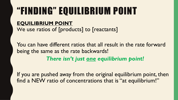# "FINDING" EQUILIBRIUM POINT

**EQUILIBRIUM POINT** We use ratios of [products] to [reactants]

You can have different ratios that all result in the rate forward being the same as the rate backwards! *There isn't just one equilibrium point!*

If you are pushed away from the original equilibrium point, then find a NEW ratio of concentrations that is "at equilibrium!"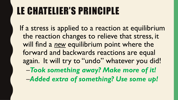# LE CHATELIER'S PRINCIPLE

If a stress is applied to a reaction at equilibrium the reaction changes to relieve that stress, it will find a *new* equilibrium point where the forward and backwards reactions are equal again. It will try to "undo" whatever you did! –*Took something away? Make more of it!* –*Added extra of something? Use some up!*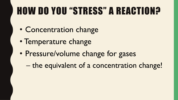# HOW DO YOU "STRESS" A REACTION?

- Concentration change
- Temperature change
- Pressure/volume change for gases
	- the equivalent of a concentration change!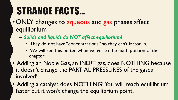#### STRANGE FACTS…

- ONLY changes to aqueous and gas phases affect equilibrium
	- *Solids and liquids do NOT affect equilibrium!*
		- They do not have "concentrations" so they can't factor in.
		- We will see this better when we get to the math portion of the chapter!
- Adding an Noble Gas, an INERT gas, does NOTHING because it doesn't change the PARTIAL PRESSURES of the gases involved!
- Adding a catalyst does NOTHING! You will reach equilibrium faster but it won't change the equilibrium point.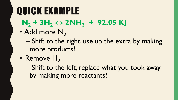# QUICK EXAMPLE

- $N_2$  + 3H<sub>2</sub>  $\leftrightarrow$  2NH<sub>3</sub> + 92.05 KJ
- Add more N<sub>2</sub>
	- Shift to the right, use up the extra by making more products!
- Remove  $H_2$ 
	- Shift to the left, replace what you took away by making more reactants!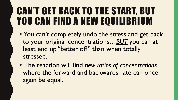#### CAN'T GET BACK TO THE START, BUT YOU CAN FIND A NEW EQUILIBRIUM

- You can't completely undo the stress and get back to your original concentrations…*BUT* you can at least end up "better off" than when totally stressed.
- The reaction will find *new ratios of concentrations* where the forward and backwards rate can once again be equal.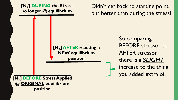**[N2] DURING the Stress no longer @ equilibrium**

Didn't get back to starting point, but better than during the stress!

**[N2] AFTER reacting a NEW equilibrium position**

So comparing BEFORE stressor to AFTER stressor, there is a *SLIGHT* increase to the thing you added extra of.

**[N2] BEFORE Stress Applied @ ORIGINAL equilibrium position**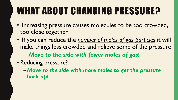# WHAT ABOUT CHANGING PRESSURE?

- Increasing pressure causes molecules to be too crowded, too close together
- If you can reduce the *number of moles of gas particles* it will make things less crowded and relieve some of the pressure
	- *Move to the side with fewer moles of gas!*
- Reducing pressure?
	- –*Move to the side with more moles to get the pressure back up!*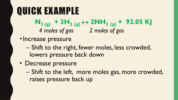#### QUICK EXAMPLE

 $N_{2(g)}$  **+ 3H<sub>2</sub>** (g)  $\leftrightarrow$  2NH<sub>3</sub> (g) **+ 92.05 KJ** *4 moles of gas 2 moles of gas*

- Increase pressure
	- Shift to the right, fewer moles, less crowded, lowers pressure back down
- Decrease pressure
	- Shift to the left, more moles gas, more crowded, raises pressure back up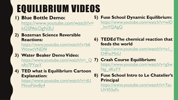# E[QUILIBRIUM VIDEO](https://www.youtube.com/watch?v=b6WmwtVNDf4)S

**1) [Blue Bottle Demo:](https://www.youtube.com/watch?v=_QnRt7PYzeY)**  https://www.youtube.com/watch?v= kGSPAkOgN3U

**2) [Bozeman Science Reversible](https://www.youtube.com/watch?v=dUMmoPdwBy4)  Reactions:** 

https://www.youtube.com/watch?v=b6 WmwtVNDf4

- **3) Water Beaker Demo Video:**  https://www.youtube.com/watch?v= Q nRt7PYzeY
- **4) TED what is Equilibrium Cartoon Explanation:**

https://www.youtube.com/watch?v=dU MmoPdwBy4

- **5)** Fuse S https:// ImYQ
- **6) TEDE** feeds **t** https://
- D4FscM **7)** Crash
	- https://  $Ng$ <sub>dK</sub>
- **8)** Fuse S **Princi** https:// **UV455**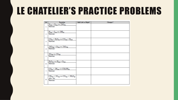#### LE CHATELIER'S PRACTICE PROBLEMS

| Q#             | Equation                                                                                          | Shift Left or Right? | Changes? |
|----------------|---------------------------------------------------------------------------------------------------|----------------------|----------|
| $\mathbf{1}$   | $N_{2(g)} + O_{2(g)} \leftrightarrow 2NO_{(g)}$<br>Stressor:                                      |                      |          |
| $\overline{2}$ | $H_{2(g)} + I_{2(g)} \leftrightarrow 2HI_{(g)}$<br>Stressor:                                      |                      |          |
| 3              | $CO_{(g)} + H_2O_{(g)} \leftrightarrow CO_{2(g)} + H_{2(g)}$<br>Stressor:                         |                      |          |
| 4              | $2SO_{2(g)} + O_{2(g)} \leftrightarrow 2SO_{3(g)}$<br>Stressor:                                   |                      |          |
| 5              | $3O_{2(g)} \leftrightarrow 2O_{3(g)}$<br>Stressor:                                                |                      |          |
| 6              | $H_2O_{2(1)} \leftrightarrow H_{2(g)} + O_{2(g)}$<br>Stressor:                                    |                      |          |
| 7              | $CO_{(g)} + 2H_{2(g)} \leftrightarrow CH_3OH_{(g)}$<br>Stressor:                                  |                      |          |
| 8              | $CH_{4(g)} + 2O_{2(g)} \leftrightarrow CO_{2(g)} + 2H_2O_{(g)}$<br>$\Delta H = -5kJ$<br>Stressor: |                      |          |